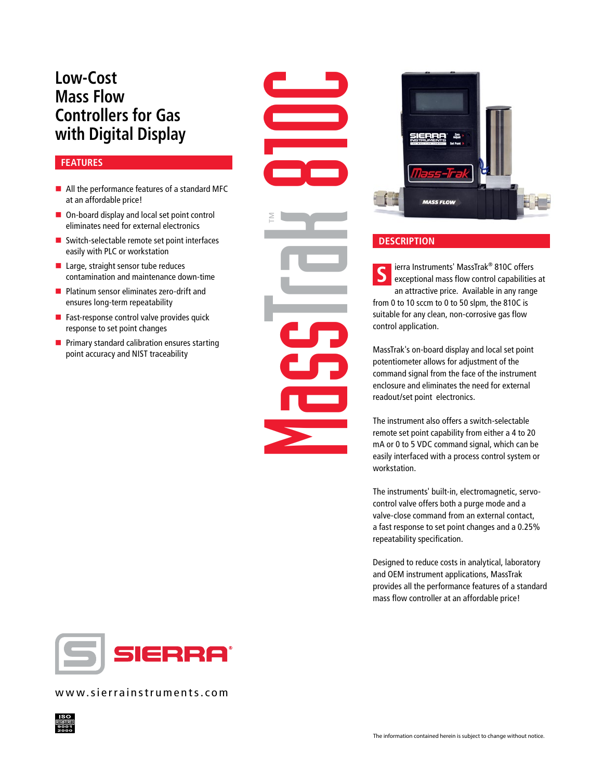## **Low-Cost Mass Flow Controllers for Gas with Digital Display**

#### **FEATURES**

- $\blacksquare$  All the performance features of a standard MFC at an affordable price!
- $\blacksquare$  On-board display and local set point control eliminates need for external electronics
- $\blacksquare$  Switch-selectable remote set point interfaces easily with PLC or workstation
- $\blacksquare$  Large, straight sensor tube reduces contamination and maintenance down-time
- Platinum sensor eliminates zero-drift and ensures long-term repeatability
- $\blacksquare$  Fast-response control valve provides quick response to set point changes
- $\blacksquare$  Primary standard calibration ensures starting point accuracy and NIST traceability

Mass Corporation Corporation Corporation Corporation Corporation Corporation Corporation Corporation Corporation Corporation Corporation Corporation Corporation Corporation Corporation Corporation Corporation Corporation C ™



### **DESCRIPTION**

**S** ierra Instruments' MassTrak<sup>®</sup> 810C offers<br>
exceptional mass flow control capabilities at an attractive price. Available in any range from 0 to 10 sccm to 0 to 50 slpm, the 810C is suitable for any clean, non-corrosive gas flow control application.

MassTrak's on-board display and local set point potentiometer allows for adjustment of the command signal from the face of the instrument enclosure and eliminates the need for external readout/set point electronics.

The instrument also offers a switch-selectable remote set point capability from either a 4 to 20 mA or 0 to 5 VDC command signal, which can be easily interfaced with a process control system or workstation.

The instruments' built-in, electromagnetic, servocontrol valve offers both a purge mode and a valve-close command from an external contact, a fast response to set point changes and a 0.25% repeatability specification.

Designed to reduce costs in analytical, laboratory and OEM instrument applications, MassTrak provides all the performance features of a standard mass flow controller at an affordable price!



www.sierrainstruments.com

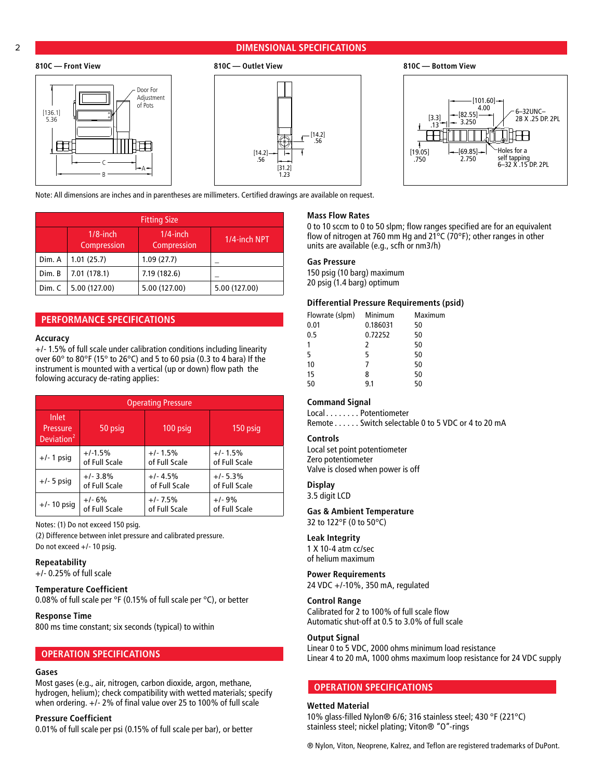#### 2 **DIMENSIONAL SPECIFICATIONS**





Note: All dimensions are inches and in parentheses are millimeters. Certified drawings are available on request.

| <b>Fitting Size</b> |                            |                            |               |
|---------------------|----------------------------|----------------------------|---------------|
|                     | $1/8$ -inch<br>Compression | $1/4$ -inch<br>Compression | 1/4-inch NPT  |
| Dim. A              | 1.01(25.7)                 | 1.09(27.7)                 |               |
| Dim. B              | 7.01(178.1)                | 7.19 (182.6)               |               |
| Dim. C              | 5.00 (127.00)              | 5.00 (127.00)              | 5.00 (127.00) |

#### **PERFORMANCE SPECIFICATIONS**

#### **Accuracy**

+/- 1.5% of full scale under calibration conditions including linearity over 60° to 80°F (15° to 26°C) and 5 to 60 psia (0.3 to 4 bara) If the instrument is mounted with a vertical (up or down) flow path the folowing accuracy de-rating applies:

| <b>Operating Pressure</b>                   |               |               |               |
|---------------------------------------------|---------------|---------------|---------------|
| Inlet<br>Pressure<br>Deviation <sup>2</sup> | 50 psig       | 100 psig      | $150$ psig    |
| $+/- 1$ psig                                | $+1.5%$       | $+/- 1.5%$    | $+/- 1.5%$    |
|                                             | of Full Scale | of Full Scale | of Full Scale |
| $+/-$ 5 psig                                | $+/- 3.8%$    | $+/- 4.5%$    | $+/- 5.3%$    |
|                                             | of Full Scale | of Full Scale | of Full Scale |
| $+/- 10$ psig                               | $+/- 6%$      | $+/-7.5%$     | $+/-9%$       |
|                                             | of Full Scale | of Full Scale | of Full Scale |

Notes: (1) Do not exceed 150 psig.

(2) Difference between inlet pressure and calibrated pressure. Do not exceed +/- 10 psig.

#### **Repeatability**

+/- 0.25% of full scale

#### **Temperature Coefficient**

0.08% of full scale per °F (0.15% of full scale per °C), or better

#### **Response Time**

800 ms time constant; six seconds (typical) to within

#### **OPERATION SPECIFICATIONS**

#### **Gases**

Most gases (e.g., air, nitrogen, carbon dioxide, argon, methane, hydrogen, helium); check compatibility with wetted materials; specify when ordering. +/- 2% of final value over 25 to 100% of full scale

#### **Pressure Coefficient**

0.01% of full scale per psi (0.15% of full scale per bar), or better

#### **Mass Flow Rates**

0 to 10 sccm to 0 to 50 slpm; flow ranges specified are for an equivalent flow of nitrogen at 760 mm Hg and 21°C (70°F); other ranges in other units are available (e.g., scfh or nm3/h)

#### **Gas Pressure**

150 psig (10 barg) maximum 20 psig (1.4 barg) optimum

#### **Differential Pressure Requirements (psid)**

| Flowrate (slpm) | Minimum  | Maximum |
|-----------------|----------|---------|
| 0.01            | 0.186031 | 50      |
| 0.5             | 0.72252  | 50      |
| 1               | 2        | 50      |
| 5               | 5        | 50      |
| 10              | 7        | 50      |
| 15              | 8        | 50      |
| 50              | 9.1      | 50      |

#### **Command Signal**

Local . . . . . . . . Potentiometer Remote . . . . . . Switch selectable 0 to 5 VDC or 4 to 20 mA

#### **Controls**

Local set point potentiometer Zero potentiometer Valve is closed when power is off

#### **Display**

3.5 digit LCD

#### **Gas & Ambient Temperature**

32 to 122°F (0 to 50°C)

#### **Leak Integrity**

1 X 10-4 atm cc/sec of helium maximum

#### **Power Requirements**

24 VDC +/-10%, 350 mA, regulated

#### **Control Range**

Calibrated for 2 to 100% of full scale flow Automatic shut-off at 0.5 to 3.0% of full scale

#### **Output Signal**

Linear 0 to 5 VDC, 2000 ohms minimum load resistance Linear 4 to 20 mA, 1000 ohms maximum loop resistance for 24 VDC supply

#### **OPERATION SPECIFICATIONS**

#### **Wetted Material**

10% glass-filled Nylon® 6/6; 316 stainless steel; 430 °F (221°C) stainless steel; nickel plating; Viton® "O"-rings

® Nylon, Viton, Neoprene, Kalrez, and Teflon are registered trademarks of DuPont.



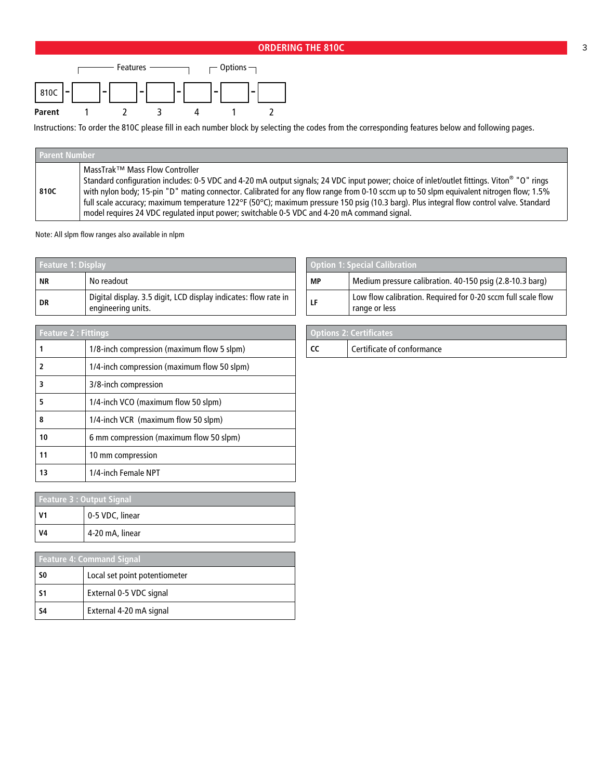### **ORDERING THE 810C 3 3**



Instructions: To order the 810C please fill in each number block by selecting the codes from the corresponding features below and following pages.

| <b>Parent Number</b> |
|----------------------|
| 810C                 |

Note: All slpm flow ranges also available in nlpm

| <b>Feature 1: Display</b> |                                                                                       |
|---------------------------|---------------------------------------------------------------------------------------|
| <b>NR</b>                 | No readout                                                                            |
| DR                        | Digital display. 3.5 digit, LCD display indicates: flow rate in<br>engineering units. |

| <b>Feature 2: Fittings</b> |                                             |
|----------------------------|---------------------------------------------|
|                            | 1/8-inch compression (maximum flow 5 slpm)  |
| 2                          | 1/4-inch compression (maximum flow 50 slpm) |
| 3                          | 3/8-inch compression                        |
| 5                          | 1/4-inch VCO (maximum flow 50 slpm)         |
| 8                          | 1/4-inch VCR (maximum flow 50 slpm)         |
| 10                         | 6 mm compression (maximum flow 50 slpm)     |
| 11                         | 10 mm compression                           |
| 13                         | 1/4-inch Female NPT                         |

| <b>Feature 3: Output Signal</b> |                 |  |
|---------------------------------|-----------------|--|
| V1                              | 0-5 VDC, linear |  |
| V4                              | 4-20 mA, linear |  |

| <b>Feature 4: Command Signal</b> |                               |  |
|----------------------------------|-------------------------------|--|
| -SO                              | Local set point potentiometer |  |
| -S1                              | External 0-5 VDC signal       |  |
| <b>S4</b>                        | External 4-20 mA signal       |  |

| <b>Option 1: Special Calibration</b> |                                                                               |
|--------------------------------------|-------------------------------------------------------------------------------|
| <b>MP</b>                            | Medium pressure calibration. 40-150 psig (2.8-10.3 barg)                      |
| LF                                   | Low flow calibration. Required for 0-20 sccm full scale flow<br>range or less |

| <b>Options 2: Certificates</b> |                                         |
|--------------------------------|-----------------------------------------|
|                                | <sup>'</sup> Certificate of conformance |